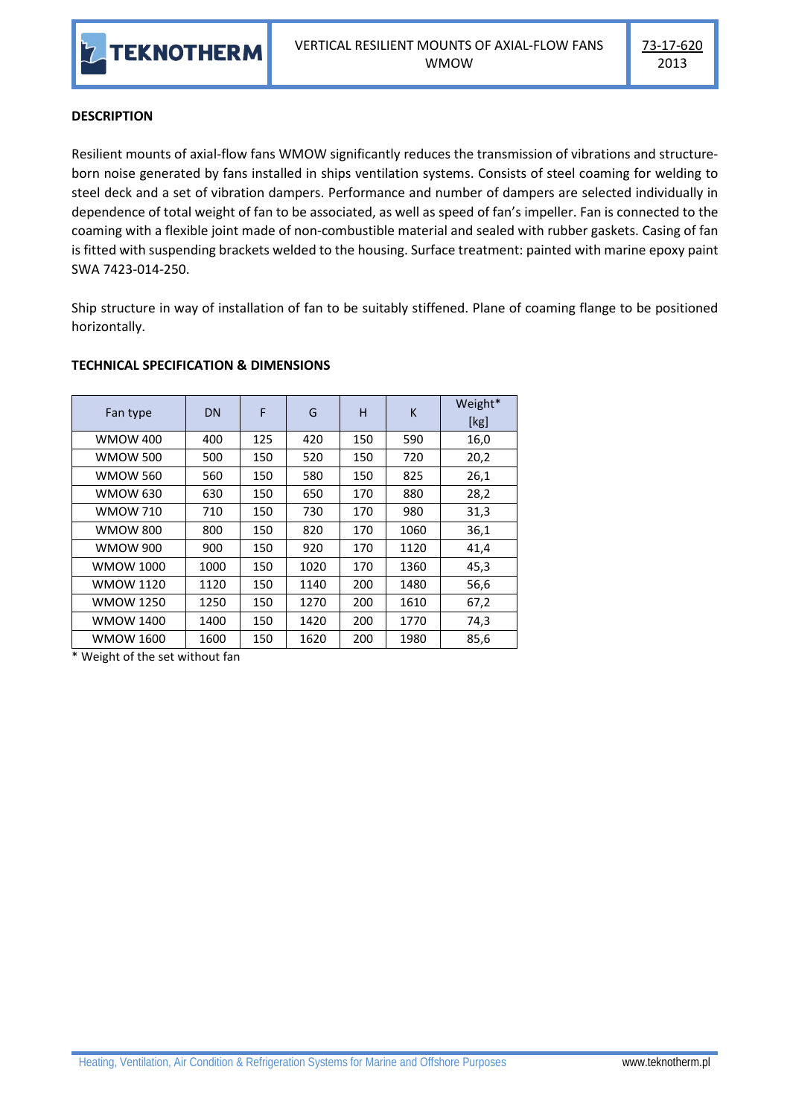

## **DESCRIPTION**

Resilient mounts of axial-flow fans WMOW significantly reduces the transmission of vibrations and structureborn noise generated by fans installed in ships ventilation systems. Consists of steel coaming for welding to steel deck and a set of vibration dampers. Performance and number of dampers are selected individually in dependence of total weight of fan to be associated, as well as speed of fan's impeller. Fan is connected to the coaming with a flexible joint made of non-combustible material and sealed with rubber gaskets. Casing of fan is fitted with suspending brackets welded to the housing. Surface treatment: painted with marine epoxy paint SWA 7423-014-250.

Ship structure in way of installation of fan to be suitably stiffened. Plane of coaming flange to be positioned horizontally.

| Fan type         | DN   | F   | G    | н   | K    | Weight*<br>[kg] |
|------------------|------|-----|------|-----|------|-----------------|
| <b>WMOW 400</b>  | 400  | 125 | 420  | 150 | 590  | 16,0            |
| <b>WMOW 500</b>  | 500  | 150 | 520  | 150 | 720  | 20,2            |
| <b>WMOW 560</b>  | 560  | 150 | 580  | 150 | 825  | 26,1            |
| <b>WMOW 630</b>  | 630  | 150 | 650  | 170 | 880  | 28,2            |
| <b>WMOW 710</b>  | 710  | 150 | 730  | 170 | 980  | 31,3            |
| <b>WMOW 800</b>  | 800  | 150 | 820  | 170 | 1060 | 36,1            |
| <b>WMOW 900</b>  | 900  | 150 | 920  | 170 | 1120 | 41,4            |
| <b>WMOW 1000</b> | 1000 | 150 | 1020 | 170 | 1360 | 45,3            |
| <b>WMOW 1120</b> | 1120 | 150 | 1140 | 200 | 1480 | 56,6            |
| <b>WMOW 1250</b> | 1250 | 150 | 1270 | 200 | 1610 | 67,2            |
| <b>WMOW 1400</b> | 1400 | 150 | 1420 | 200 | 1770 | 74,3            |
| WMOW 1600        | 1600 | 150 | 1620 | 200 | 1980 | 85,6            |

## **TECHNICAL SPECIFICATION & DIMENSIONS**

\* Weight of the set without fan